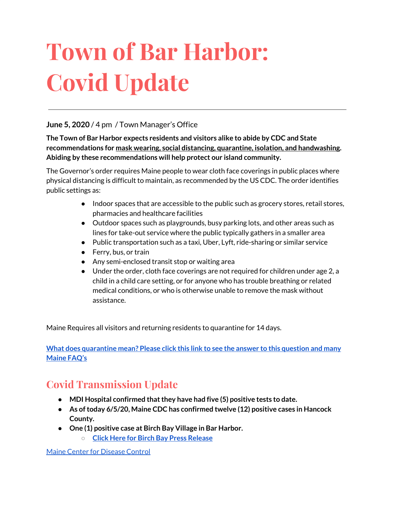# **Town of Bar Harbor: Covid Update**

#### **June 5, 2020** / 4 pm / Town Manager's Office

**The Town of Bar Harbor expects residents and visitors alike to abide by CDC and State recommendations for mask wearing, social distancing, quarantine, isolation, and handwashing. Abiding by these recommendations will help protect our island community.**

The Governor's order requires Maine people to wear cloth face coverings in public places where physical distancing is difficult to maintain, as recommended by the US CDC. The order identifies public settings as:

- Indoor spaces that are accessible to the public such as grocery stores, retail stores, pharmacies and healthcare facilities
- Outdoor spaces such as playgrounds, busy parking lots, and other areas such as lines for take-out service where the public typically gathers in a smaller area
- Public transportation such as a taxi, Uber, Lyft, ride-sharing or similar service
- Ferry, bus, or train
- Any semi-enclosed transit stop or waiting area
- Under the order, cloth face coverings are not required for children under age 2, a child in a child care setting, or for anyone who has trouble breathing or related medical conditions, or who is otherwise unable to remove the mask without assistance.

Maine Requires all visitors and returning residents to quarantine for 14 days.

**What does [quarantine](https://www.maine.gov/dhhs/mecdc/infectious-disease/epi/airborne/coronavirus.shtml#faq) mean? Please click this link to see the answer to this question and many [Maine](https://www.maine.gov/dhhs/mecdc/infectious-disease/epi/airborne/coronavirus.shtml#faq) FAQ's**

# **Covid Transmission Update**

- **● MDI Hospital confirmed thatthey have had five (5) positive tests to date.**
- **● As oftoday 6/5/20, Maine CDC has confirmed twelve (12) positive cases in Hancock County.**
- **● One (1) positive case at Birch Bay Village in Bar Harbor.**
	- **○ Click Here for Birch Bay Press [Release](https://www.birchbayvillage.us/category/coronavirus/)**

Maine Center for [Disease](https://www.maine.gov/dhhs/mecdc/infectious-disease/epi/airborne/coronavirus.shtml) Control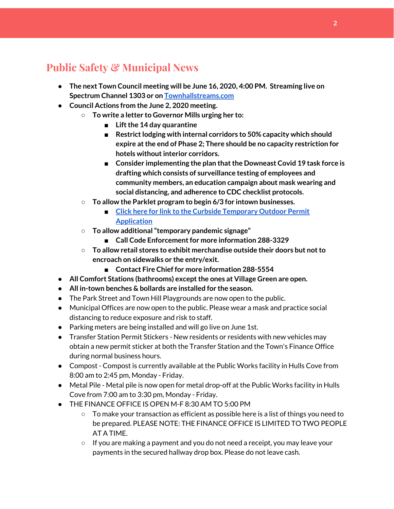# **Public Safety & Municipal News**

- **● The next Town Council meeting will be June 16, 2020, 4:00 PM. Streaming live on Spectrum Channel 1303 or on [Townhallstreams.com](http://townhallstreams.com/)**
- **● Council Actions from the June 2, 2020 meeting.**
	- **○ To write a letter to Governor Mills urging her to:**
		- Lift the 14 day quarantine
		- **Restrict lodging with internal corridors to 50% capacity which should expire atthe end of Phase 2; There should be no capacity restriction for hotels withoutinterior corridors.**
		- **■ Consider implementing the plan thatthe Downeast Covid 19 task force is drafting which consists of surveillance testing of employees and community members, an education campaign about mask wearing and social distancing, and adherence to CDC checklist protocols.**
	- **○ To allow the Parklet program to begin 6/3 for intown businesses.**
		- **■ Click here for link to the Curbside [Temporary](http://www.barharbormaine.gov/CivicAlerts.aspx?AID=671) Outdoor Permit [Application](http://www.barharbormaine.gov/CivicAlerts.aspx?AID=671)**
	- **○ To allow additional"temporary pandemic signage"**
		- **Call Code Enforcement for more information 288-3329**
	- **○ To allow retail stores to exhibit merchandise outside their doors but notto encroach on sidewalks or the entry/exit.**
		- **■ Contact Fire Chief for more information 288-5554**
- **● All Comfort Stations (bathrooms) exceptthe ones at Village Green are open.**
- **● All in-town benches & bollards are installed for the season.**
- The Park Street and Town Hill Playgrounds are now open to the public.
- Municipal Offices are now open to the public. Please wear a mask and practice social distancing to reduce exposure and risk to staff.
- Parking meters are being installed and will go live on June 1st.
- Transfer Station Permit Stickers New residents or residents with new vehicles may obtain a new permit sticker at both the Transfer Station and the Town's Finance Office during normal business hours.
- Compost Compost is currently available at the Public Works facility in Hulls Cove from 8:00 am to 2:45 pm, Monday - Friday.
- Metal Pile Metal pile is now open for metal drop-off at the Public Works facility in Hulls Cove from 7:00 am to 3:30 pm, Monday - Friday.
- THE FINANCE OFFICE IS OPEN M-F 8:30 AM TO 5:00 PM
	- $\circ$  To make your transaction as efficient as possible here is a list of things you need to be prepared. PLEASE NOTE: THE FINANCE OFFICE IS LIMITED TO TWO PEOPLE AT A TIME.
	- If you are making a payment and you do not need a receipt, you may leave your payments in the secured hallway drop box. Please do not leave cash.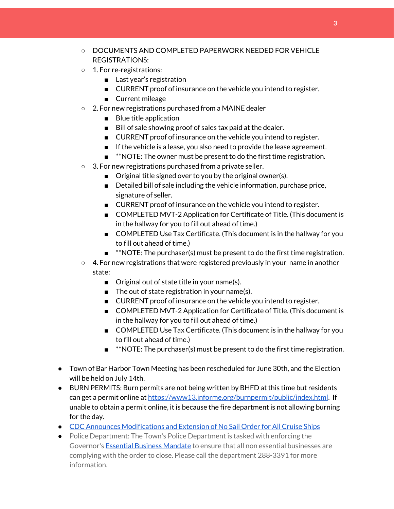- DOCUMENTS AND COMPLETED PAPERWORK NEEDED FOR VEHICLE REGISTRATIONS:
- 1. For re-registrations:
	- Last year's registration
	- CURRENT proof of insurance on the vehicle you intend to register.
	- Current mileage
- 2. For new registrations purchased from a MAINE dealer
	- Blue title application
	- Bill of sale showing proof of sales tax paid at the dealer.
	- CURRENT proof of insurance on the vehicle you intend to register.
	- If the vehicle is a lease, you also need to provide the lease agreement.
	- **\*\*NOTE:** The owner must be present to do the first time registration.
- 3. For new registrations purchased from a private seller.
	- Original title signed over to you by the original owner(s).
	- Detailed bill of sale including the vehicle information, purchase price, signature of seller.
	- CURRENT proof of insurance on the vehicle you intend to register.
	- COMPLETED MVT-2 Application for Certificate of Title. (This document is in the hallway for you to fill out ahead of time.)
	- COMPLETED Use Tax Certificate. (This document is in the hallway for you to fill out ahead of time.)
	- **\*\*NOTE: The purchaser(s) must be present to do the first time registration.**
- $\circ$  4. For new registrations that were registered previously in your name in another state:
	- Original out of state title in your name(s).
	- The out of state registration in your name(s).
	- CURRENT proof of insurance on the vehicle you intend to register.
	- COMPLETED MVT-2 Application for Certificate of Title. (This document is in the hallway for you to fill out ahead of time.)
	- COMPLETED Use Tax Certificate. (This document is in the hallway for you to fill out ahead of time.)
	- **■** \*\*NOTE: The purchaser(s) must be present to do the first time registration.
- Town of Bar Harbor Town Meeting has been rescheduled for June 30th, and the Election will be held on July 14th.
- BURN PERMITS: Burn permits are not being written by BHFD at this time but residents can get a permit online at <https://www13.informe.org/burnpermit/public/index.html>. If unable to obtain a permit online, it is because the fire department is not allowing burning for the day.
- CDC Announces [Modifications](https://www.cdc.gov/media/releases/2020/s0409-modifications-extension-no-sail-ships.html) and Extension of No Sail Order for All Cruise Ships
- Police Department: The Town's Police Department is tasked with enforcing the Governor's Essential Business [Mandate](https://www.maine.gov/governor/mills/sites/maine.gov.governor.mills/files/inline-files/An%20Order%20Regarding%20Essential%20Businesses%20and%20Operations%20.pdf) to ensure that all non essential businesses are complying with the order to close. Please call the department 288-3391 for more information.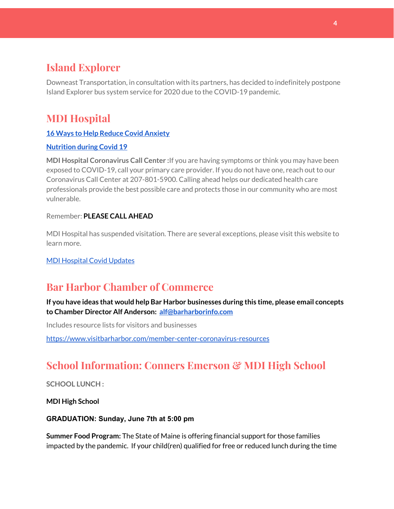## **Island Explorer**

Downeast Transportation, in consultation with its partners, has decided to indefinitely postpone Island Explorer bus system service for 2020 due to the COVID-19 pandemic.

# **MDI Hospital**

#### **16 Ways to Help Reduce Covid [Anxiety](https://www.mdihospital.org/news/16-ways-to-help-reduce-covid-19-anxiety/)**

#### **[Nutrition](https://www.mdihospital.org/news/16-ways-to-help-reduce-covid-19-anxiety/) during Covid 19**

**MDI Hospital Coronavirus Call Center :**If you are having symptoms or think you may have been exposed to COVID-19, call your primary care provider. If you do not have one, reach out to our Coronavirus Call Center at 207-801-5900. Calling ahead helps our dedicated health care professionals provide the best possible care and protects those in our community who are most vulnerable.

#### Remember: **PLEASE CALL AHEAD**

MDI Hospital has suspended visitation. There are several exceptions, please visit this website to learn more.

MDI [Hospital](https://www.mdihospital.org/covid-19/?fbclid=IwAR2Q31t4a6H1pxDfUeqSzFcmp5UbRlSwe93i58zEkHstfexp5EgoHB5cxGU) Covid Updates

## **Bar Harbor Chamber of Commerce**

**If you have ideas that would help Bar Harbor businesses during this time, please email concepts to Chamber Director Alf Anderson: [alf@barharborinfo.com](mailto:alf@barharborinfo.com)**

Includes resource lists for visitors and businesses

<https://www.visitbarharbor.com/member-center-coronavirus-resources>

## **School Information: Conners Emerson & MDI High School**

**SCHOOL LUNCH :**

**MDI High School**

**GRADUATION: Sunday, June 7th at 5:00 pm**

**Summer Food Program:** The State of Maine is offering financial support for those families impacted by the pandemic. If your child(ren) qualified for free or reduced lunch during the time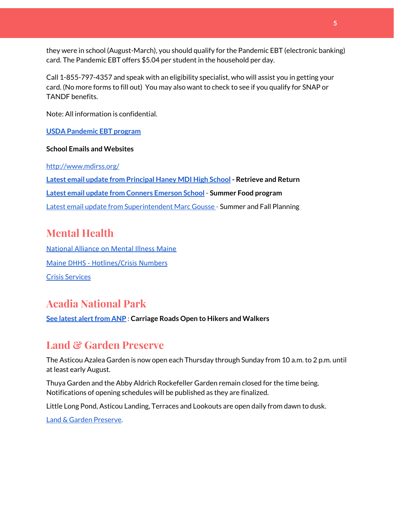they were in school (August-March), you should qualify for the Pandemic EBT (electronic banking) card. The Pandemic EBT offers \$5.04 per student in the household per day.

Call 1-855-797-4357 and speak with an eligibility specialist, who will assist you in getting your card. (No more forms to fill out) You may also want to check to see if you qualify for SNAP or TANDF benefits.

Note: All information is confidential.

#### **USDA [Pandemic](http://track.spe.schoolmessenger.com/f/a/j6GQx4nFl3Rld4Q68tYCuA~~/AAAAAQA~/RgRgu5_JP0SlaHR0cHM6Ly9tYWlsLmdvb2dsZS5jb20vbWFpbC91LzAvP3RhYj1jbSNzZWFyY2gvZnJvbSUzQStiZWVzbGV5L1doY3RLSlZyQ0NUS1JmUldCTFdkUVpGZ2pUVlhNdkRwUVpIa2NoRkJCc3NGcHJxZEtnWFF3S05Tamt3R1RxTFpaS21wTkRHP3Byb2plY3Rvcj0xJm1lc3NhZ2VQYXJ0SWQ9MC4xVwdzY2hvb2xtQgoARkls2l72Ls-jUhhiYXJoYXJib3JqZXdlbEBnbWFpbC5jb21YBAAAAAE~) EBT program**

#### **School Emails and Websites**

<http://www.mdirss.org/>

**Latest email update from [Principal](https://docs.google.com/document/d/1OKDsYNtOgV0FI9xAcXwQvenOKLV0S2vBg1o5jtu5CrE/edit?usp=sharing) Haney MDI High School - Retrieve and Return Latest email update from Conners [Emerson](https://docs.google.com/document/d/1v3pgkG6Q-9S3gisuUIj4etPVDwgBKl4P00JBkvZr-kk/edit?usp=sharing) School - Summer Food program** Latest email update from [Superintendent](https://docs.google.com/document/d/1fzeCbc8gpTSKmUaDoQH1Avx5PVl-h0reFphXrT1eUNA/edit?usp=sharing) Marc Gousse - Summer and Fall Planning

#### **Mental Health**

[National Alliance on Mental Illness Maine](https://www.namimaine.org/) [Maine DHHS - Hotlines/Crisis Numbers](https://www.maine.gov/dhhs/hotlines.shtml) Crisis [Services](https://www.sweetser.org/programs-services/services-for-adults/crisis-services/)

#### **Acadia National Park**

**See latest [alertfrom](https://www.nps.gov/acad/planyourvisit/conditions.htm) ANP : Carriage Roads Open to Hikers and Walkers**

### **Land & Garden Preserve**

The Asticou Azalea Garden is now open each Thursday through Sunday from 10 a.m. to 2 p.m. until at least early August.

Thuya Garden and the Abby Aldrich Rockefeller Garden remain closed for the time being. Notifications of opening schedules will be published as they are finalized.

Little Long Pond, Asticou Landing, Terraces and Lookouts are open daily from dawn to dusk.

Land & Garden [Preserve.](http://r20.rs6.net/tn.jsp?f=001c2c44O_Y4Bmt5GaCvu5yAYkz89M8Lwr9w3wPmKga-jL0VkXmrA_iCBnJWeKd-r-c_wiOF7jNYC-QzXJMviI1ynfM6TwSp8c5otfuaSIRTDcq5nn2rk6dJCDjoN3eBqPHJKFYoFyk9hM2S6_Umc9OISkK5B4CYWoH5SoIKNOTrvM=&c=hkvlfXnwmFjdodNWvqArIvDg3SgMq59MugFS-G4pB0EsTcKrtCXmmw==&ch=dosMVM0pVLoaympYuEEiXtIerW5cx-__Cn3S8zZpZ16TXMeGogAN8g==)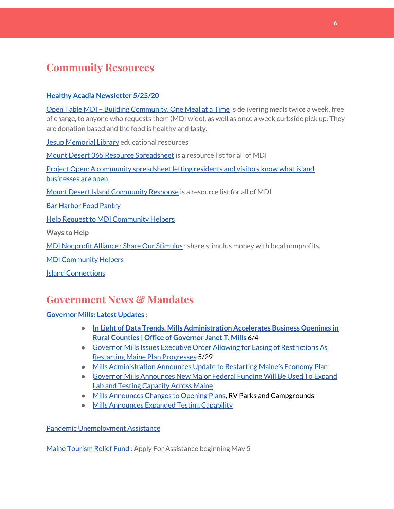## **Community Resources**

#### **Healthy Acadia [Newsletter](https://mailchi.mp/healthyacadia.org/may25_2020?e=e6ccd2569f) 5/25/20**

Open Table MDI – Building [Community,](https://www.opentablemdi.org/) One Meal at a Time is delivering meals twice a week, free of charge, to anyone who requests them (MDI wide), as well as once a week curbside pick up. They are donation based and the food is healthy and tasty.

Jesup [Memorial](https://jesuplibrary.org/) Library educational resources

Mount Desert 365 Resource [Spreadsheet](https://docs.google.com/spreadsheets/d/1okAx6HSsgXZY9CGH07Dzi6rqe7a6m4dLCPKot2Li7Ek/edit?usp=sharing) is a resource list for all of MDI

Project Open: A community [spreadsheet](https://docs.google.com/spreadsheets/d/1dBicBiBXGzzWEFd9oqL7EBDbFWjDCPl6SSMea_Kt4pc/htmlview#) letting residents and visitors know what island [businesses](https://docs.google.com/spreadsheets/d/1dBicBiBXGzzWEFd9oqL7EBDbFWjDCPl6SSMea_Kt4pc/htmlview#) are open

Mount Desert Island [Community](https://www.mdicr.org/) Response is a resource list for all of MDI

Bar [Harbor](https://www.barharborfoodpantry.org/) Food Pantry

**Help Request to MDI [Community](https://docs.google.com/forms/d/e/1FAIpQLSeZfu0tCcthHc9oL7tPomVRdniYiE7nbT_kkK9iCSRgqDhOvQ/viewform) Helpers** 

**Ways to Help**

MDI [Nonprofit](https://sites.google.com/mdina.org/public/sos-mdi?authuser=0) Alliance : Share Our Stimulus : share stimulus money with local nonprofits.

MDI [Community](https://docs.google.com/forms/d/e/1FAIpQLSe_CJUFdVvwJkmymWRqUeK8bx3m7n4uSOuUPYHqXSAyH2DBoQ/viewform?fbclid=IwAR25hjnWGhnMP0lOWMcBPRBumhtQCJGZO4hlk-T-VjNGZljL1kVX5pWrL6U) Helpers

Island [Connections](http://islconnections.org/contact-us/)

#### **Government News & Mandates**

**[Governor](https://www.maine.gov/governor/mills/) Mills: Latest Updates :**

- **● In Light of Data Trends, Mills [Administration](https://www.maine.gov/governor/mills/news/light-data-trends-mills-administration-accelerates-business-openings-rural-counties-2020-06-04) Accelerates Business Openings in Rural Counties | Office of [Governor](https://www.maine.gov/governor/mills/news/light-data-trends-mills-administration-accelerates-business-openings-rural-counties-2020-06-04) Janet T. Mills** 6/4
- Governor Mills Issues Executive Order Allowing for Easing of [Restrictions](https://www.maine.gov/governor/mills/news/governor-mills-issues-executive-order-allowing-easing-restrictions-restarting-maine-plan) As Restarting Maine Plan [Progresses](https://www.maine.gov/governor/mills/news/governor-mills-issues-executive-order-allowing-easing-restrictions-restarting-maine-plan) 5/29
- Mills [Administration](https://www.maine.gov/governor/mills/news/mills-administration-announces-update-restarting-maines-economy-plan-2020-05-27) Announces Update to Restarting Maine's Economy Plan
- Governor Mills [Announces](https://www.maine.gov/governor/mills/news/governor-mills-announces-new-major-federal-funding-will-be-used-expand-lab-and-testing) New Major Federal Funding Will Be Used To Expand Lab and Testing [Capacity](https://www.maine.gov/governor/mills/news/governor-mills-announces-new-major-federal-funding-will-be-used-expand-lab-and-testing) Across Maine
- Mills [Announces](https://www.maine.gov/governor/mills/) Changes to Opening Plans, RV Parks and Campgrounds
- Mills [Announces](https://www.maine.gov/governor/mills/news/maine-eliminates-testing-prioritization-expands-testing-anyone-suspected-having-covid-19-2020) Expanded Testing Capability

Pandemic [Unemployment](https://www.maine.gov/unemployment/pua/) Assistance

Maine [Tourism](https://www.mainetourism.com/maine-tourism-relief-fund/) Relief Fund: Apply For Assistance beginning May 5